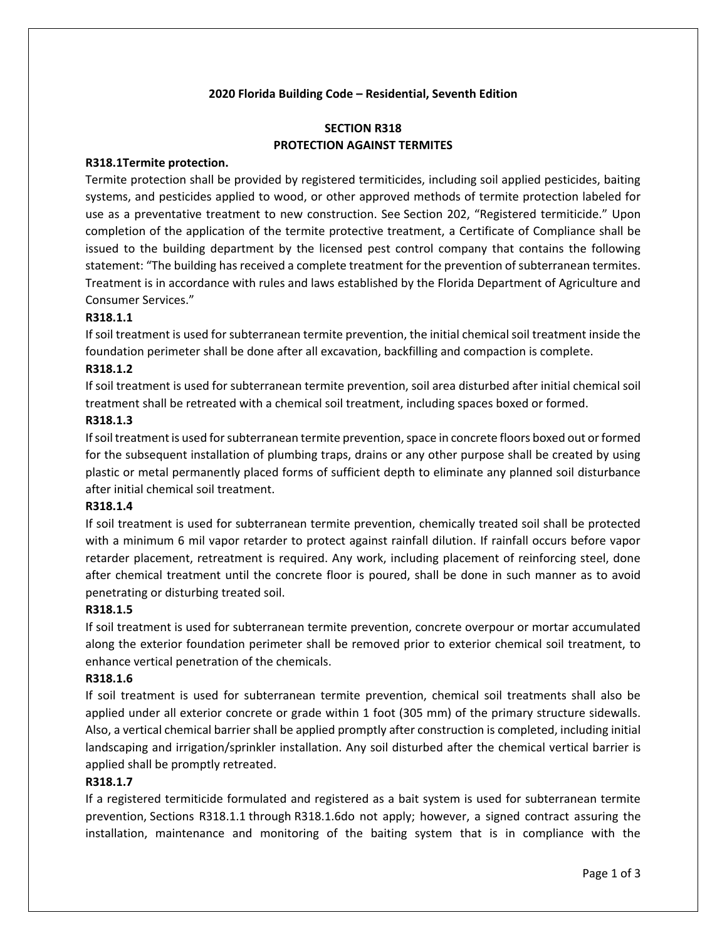### **2020 Florida Building Code – Residential, Seventh Edition**

# **SECTION R318 PROTECTION AGAINST TERMITES**

### **R318.1Termite protection.**

Termite protection shall be provided by registered termiticides, including soil applied pesticides, baiting systems, and pesticides applied to wood, or other approved methods of termite protection labeled for use as a preventative treatment to new construction. See Section 202, "Registered termiticide." Upon completion of the application of the termite protective treatment, a Certificate of Compliance shall be issued to the building department by the licensed pest control company that contains the following statement: "The building has received a complete treatment for the prevention of subterranean termites. Treatment is in accordance with rules and laws established by the Florida Department of Agriculture and Consumer Services."

### **R318.1.1**

If soil treatment is used for subterranean termite prevention, the initial chemical soil treatment inside the foundation perimeter shall be done after all excavation, backfilling and compaction is complete.

### **R318.1.2**

If soil treatment is used for subterranean termite prevention, soil area disturbed after initial chemical soil treatment shall be retreated with a chemical soil treatment, including spaces boxed or formed.

### **R318.1.3**

If soil treatment is used for subterranean termite prevention, space in concrete floors boxed out or formed for the subsequent installation of plumbing traps, drains or any other purpose shall be created by using plastic or metal permanently placed forms of sufficient depth to eliminate any planned soil disturbance after initial chemical soil treatment.

### **R318.1.4**

If soil treatment is used for subterranean termite prevention, chemically treated soil shall be protected with a minimum 6 mil vapor retarder to protect against rainfall dilution. If rainfall occurs before vapor retarder placement, retreatment is required. Any work, including placement of reinforcing steel, done after chemical treatment until the concrete floor is poured, shall be done in such manner as to avoid penetrating or disturbing treated soil.

### **R318.1.5**

If soil treatment is used for subterranean termite prevention, concrete overpour or mortar accumulated along the exterior foundation perimeter shall be removed prior to exterior chemical soil treatment, to enhance vertical penetration of the chemicals.

### **R318.1.6**

If soil treatment is used for subterranean termite prevention, chemical soil treatments shall also be applied under all exterior concrete or grade within 1 foot (305 mm) of the primary structure sidewalls. Also, a vertical chemical barrier shall be applied promptly after construction is completed, including initial landscaping and irrigation/sprinkler installation. Any soil disturbed after the chemical vertical barrier is applied shall be promptly retreated.

### **R318.1.7**

If a registered termiticide formulated and registered as a bait system is used for subterranean termite prevention, Sections R318.1.1 through R318.1.6do not apply; however, a signed contract assuring the installation, maintenance and monitoring of the baiting system that is in compliance with the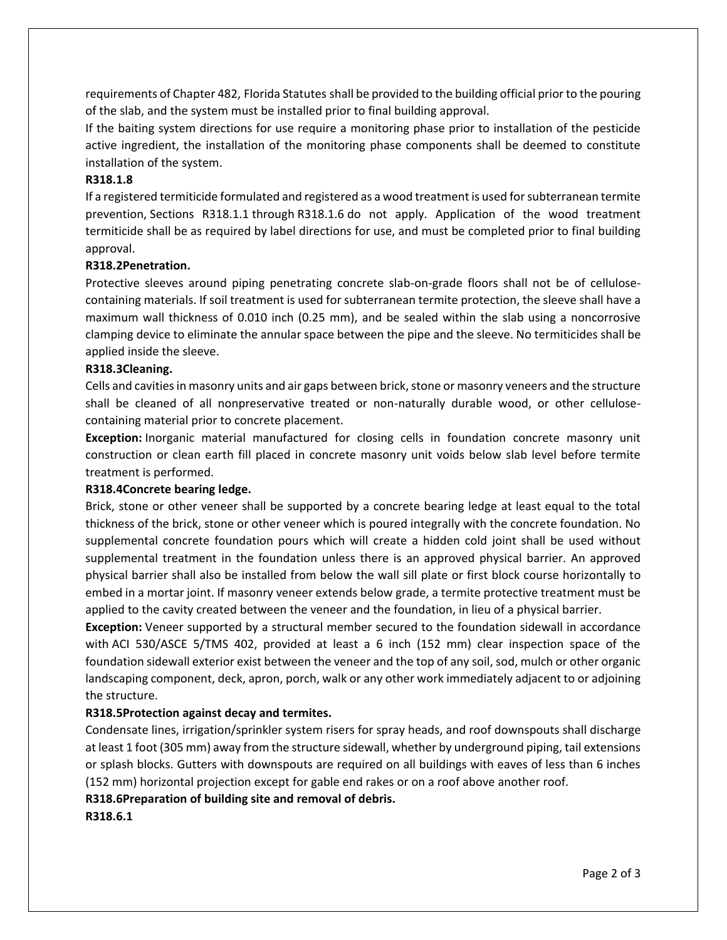requirements of Chapter 482, Florida Statutes shall be provided to the building official prior to the pouring of the slab, and the system must be installed prior to final building approval.

If the baiting system directions for use require a monitoring phase prior to installation of the pesticide active ingredient, the installation of the monitoring phase components shall be deemed to constitute installation of the system.

### **R318.1.8**

If a registered termiticide formulated and registered as a wood treatment is used for subterranean termite prevention, Sections R318.1.1 through R318.1.6 do not apply. Application of the wood treatment termiticide shall be as required by label directions for use, and must be completed prior to final building approval.

### **R318.2Penetration.**

Protective sleeves around piping penetrating concrete slab-on-grade floors shall not be of cellulosecontaining materials. If soil treatment is used for subterranean termite protection, the sleeve shall have a maximum wall thickness of 0.010 inch (0.25 mm), and be sealed within the slab using a noncorrosive clamping device to eliminate the annular space between the pipe and the sleeve. No termiticides shall be applied inside the sleeve.

#### **R318.3Cleaning.**

Cells and cavities in masonry units and air gaps between brick, stone or masonry veneers and the structure shall be cleaned of all nonpreservative treated or non-naturally durable wood, or other cellulosecontaining material prior to concrete placement.

**Exception:** Inorganic material manufactured for closing cells in foundation concrete masonry unit construction or clean earth fill placed in concrete masonry unit voids below slab level before termite treatment is performed.

#### **R318.4Concrete bearing ledge.**

Brick, stone or other veneer shall be supported by a concrete bearing ledge at least equal to the total thickness of the brick, stone or other veneer which is poured integrally with the concrete foundation. No supplemental concrete foundation pours which will create a hidden cold joint shall be used without supplemental treatment in the foundation unless there is an approved physical barrier. An approved physical barrier shall also be installed from below the wall sill plate or first block course horizontally to embed in a mortar joint. If masonry veneer extends below grade, a termite protective treatment must be applied to the cavity created between the veneer and the foundation, in lieu of a physical barrier.

**Exception:** Veneer supported by a structural member secured to the foundation sidewall in accordance with ACI 530/ASCE 5/TMS 402, provided at least a 6 inch (152 mm) clear inspection space of the foundation sidewall exterior exist between the veneer and the top of any soil, sod, mulch or other organic landscaping component, deck, apron, porch, walk or any other work immediately adjacent to or adjoining the structure.

### **R318.5Protection against decay and termites.**

Condensate lines, irrigation/sprinkler system risers for spray heads, and roof downspouts shall discharge at least 1 foot (305 mm) away from the structure sidewall, whether by underground piping, tail extensions or splash blocks. Gutters with downspouts are required on all buildings with eaves of less than 6 inches (152 mm) horizontal projection except for gable end rakes or on a roof above another roof.

### **R318.6Preparation of building site and removal of debris.**

**R318.6.1**